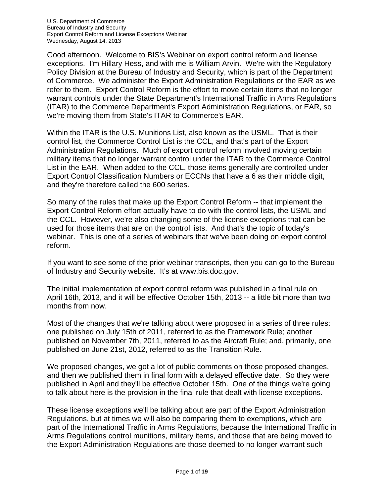Good afternoon. Welcome to BIS's Webinar on export control reform and license exceptions. I'm Hillary Hess, and with me is William Arvin. We're with the Regulatory Policy Division at the Bureau of Industry and Security, which is part of the Department of Commerce. We administer the Export Administration Regulations or the EAR as we refer to them. Export Control Reform is the effort to move certain items that no longer warrant controls under the State Department's International Traffic in Arms Regulations (ITAR) to the Commerce Department's Export Administration Regulations, or EAR, so we're moving them from State's ITAR to Commerce's EAR.

Within the ITAR is the U.S. Munitions List, also known as the USML. That is their control list, the Commerce Control List is the CCL, and that's part of the Export Administration Regulations. Much of export control reform involved moving certain military items that no longer warrant control under the ITAR to the Commerce Control List in the EAR. When added to the CCL, those items generally are controlled under Export Control Classification Numbers or ECCNs that have a 6 as their middle digit, and they're therefore called the 600 series.

So many of the rules that make up the Export Control Reform -- that implement the Export Control Reform effort actually have to do with the control lists, the USML and the CCL. However, we're also changing some of the license exceptions that can be used for those items that are on the control lists. And that's the topic of today's webinar. This is one of a series of webinars that we've been doing on export control reform.

If you want to see some of the prior webinar transcripts, then you can go to the Bureau of Industry and Security website. It's at www.bis.doc.gov.

The initial implementation of export control reform was published in a final rule on April 16th, 2013, and it will be effective October 15th, 2013 -- a little bit more than two months from now.

Most of the changes that we're talking about were proposed in a series of three rules: one published on July 15th of 2011, referred to as the Framework Rule; another published on November 7th, 2011, referred to as the Aircraft Rule; and, primarily, one published on June 21st, 2012, referred to as the Transition Rule.

We proposed changes, we got a lot of public comments on those proposed changes, and then we published them in final form with a delayed effective date. So they were published in April and they'll be effective October 15th. One of the things we're going to talk about here is the provision in the final rule that dealt with license exceptions.

These license exceptions we'll be talking about are part of the Export Administration Regulations, but at times we will also be comparing them to exemptions, which are part of the International Traffic in Arms Regulations, because the International Traffic in Arms Regulations control munitions, military items, and those that are being moved to the Export Administration Regulations are those deemed to no longer warrant such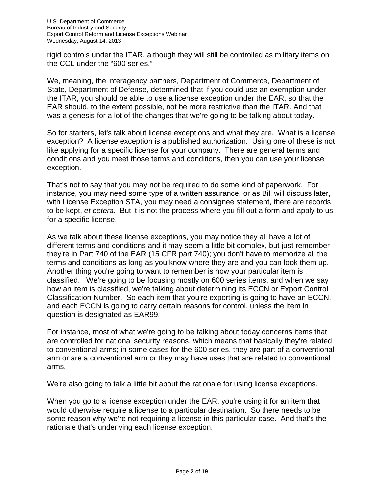rigid controls under the ITAR, although they will still be controlled as military items on the CCL under the "600 series."

We, meaning, the interagency partners, Department of Commerce, Department of State, Department of Defense, determined that if you could use an exemption under the ITAR, you should be able to use a license exception under the EAR, so that the EAR should, to the extent possible, not be more restrictive than the ITAR. And that was a genesis for a lot of the changes that we're going to be talking about today.

So for starters, let's talk about license exceptions and what they are. What is a license exception? A license exception is a published authorization. Using one of these is not like applying for a specific license for your company. There are general terms and conditions and you meet those terms and conditions, then you can use your license exception.

That's not to say that you may not be required to do some kind of paperwork. For instance, you may need some type of a written assurance, or as Bill will discuss later, with License Exception STA, you may need a consignee statement, there are records to be kept, *et cetera*. But it is not the process where you fill out a form and apply to us for a specific license.

As we talk about these license exceptions, you may notice they all have a lot of different terms and conditions and it may seem a little bit complex, but just remember they're in Part 740 of the EAR (15 CFR part 740); you don't have to memorize all the terms and conditions as long as you know where they are and you can look them up. Another thing you're going to want to remember is how your particular item is classified. We're going to be focusing mostly on 600 series items, and when we say how an item is classified, we're talking about determining its ECCN or Export Control Classification Number. So each item that you're exporting is going to have an ECCN, and each ECCN is going to carry certain reasons for control, unless the item in question is designated as EAR99.

For instance, most of what we're going to be talking about today concerns items that are controlled for national security reasons, which means that basically they're related to conventional arms; in some cases for the 600 series, they are part of a conventional arm or are a conventional arm or they may have uses that are related to conventional arms.

We're also going to talk a little bit about the rationale for using license exceptions.

When you go to a license exception under the EAR, you're using it for an item that would otherwise require a license to a particular destination. So there needs to be some reason why we're not requiring a license in this particular case. And that's the rationale that's underlying each license exception.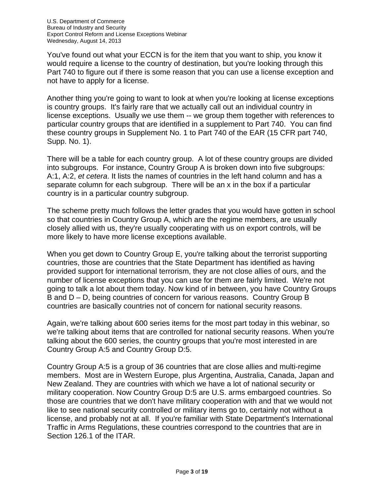You've found out what your ECCN is for the item that you want to ship, you know it would require a license to the country of destination, but you're looking through this Part 740 to figure out if there is some reason that you can use a license exception and not have to apply for a license.

Another thing you're going to want to look at when you're looking at license exceptions is country groups. It's fairly rare that we actually call out an individual country in license exceptions. Usually we use them -- we group them together with references to particular country groups that are identified in a supplement to Part 740. You can find these country groups in Supplement No. 1 to Part 740 of the EAR (15 CFR part 740, Supp. No. 1).

There will be a table for each country group. A lot of these country groups are divided into subgroups. For instance, Country Group A is broken down into five subgroups: A:1, A:2, *et cetera*. It lists the names of countries in the left hand column and has a separate column for each subgroup. There will be an x in the box if a particular country is in a particular country subgroup.

The scheme pretty much follows the letter grades that you would have gotten in school so that countries in Country Group A, which are the regime members, are usually closely allied with us, they're usually cooperating with us on export controls, will be more likely to have more license exceptions available.

When you get down to Country Group E, you're talking about the terrorist supporting countries, those are countries that the State Department has identified as having provided support for international terrorism, they are not close allies of ours, and the number of license exceptions that you can use for them are fairly limited. We're not going to talk a lot about them today. Now kind of in between, you have Country Groups B and D – D, being countries of concern for various reasons. Country Group B countries are basically countries not of concern for national security reasons.

Again, we're talking about 600 series items for the most part today in this webinar, so we're talking about items that are controlled for national security reasons. When you're talking about the 600 series, the country groups that you're most interested in are Country Group A:5 and Country Group D:5.

Country Group A:5 is a group of 36 countries that are close allies and multi-regime members. Most are in Western Europe, plus Argentina, Australia, Canada, Japan and New Zealand. They are countries with which we have a lot of national security or military cooperation. Now Country Group D:5 are U.S. arms embargoed countries. So those are countries that we don't have military cooperation with and that we would not like to see national security controlled or military items go to, certainly not without a license, and probably not at all. If you're familiar with State Department's International Traffic in Arms Regulations, these countries correspond to the countries that are in Section 126.1 of the ITAR.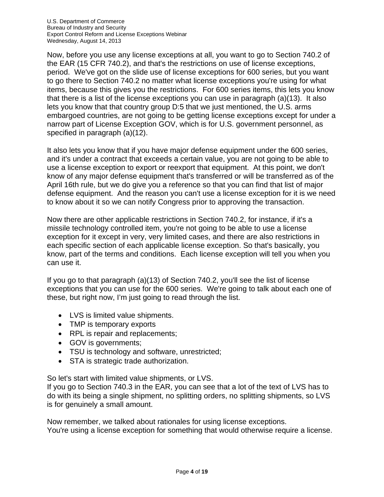Now, before you use any license exceptions at all, you want to go to Section 740.2 of the EAR (15 CFR 740.2), and that's the restrictions on use of license exceptions, period. We've got on the slide use of license exceptions for 600 series, but you want to go there to Section 740.2 no matter what license exceptions you're using for what items, because this gives you the restrictions. For 600 series items, this lets you know that there is a list of the license exceptions you can use in paragraph (a)(13). It also lets you know that that country group D:5 that we just mentioned, the U.S. arms embargoed countries, are not going to be getting license exceptions except for under a narrow part of License Exception GOV, which is for U.S. government personnel, as specified in paragraph (a)(12).

It also lets you know that if you have major defense equipment under the 600 series, and it's under a contract that exceeds a certain value, you are not going to be able to use a license exception to export or reexport that equipment. At this point, we don't know of any major defense equipment that's transferred or will be transferred as of the April 16th rule, but we do give you a reference so that you can find that list of major defense equipment. And the reason you can't use a license exception for it is we need to know about it so we can notify Congress prior to approving the transaction.

Now there are other applicable restrictions in Section 740.2, for instance, if it's a missile technology controlled item, you're not going to be able to use a license exception for it except in very, very limited cases, and there are also restrictions in each specific section of each applicable license exception. So that's basically, you know, part of the terms and conditions. Each license exception will tell you when you can use it.

If you go to that paragraph (a)(13) of Section 740.2, you'll see the list of license exceptions that you can use for the 600 series. We're going to talk about each one of these, but right now, I'm just going to read through the list.

- LVS is limited value shipments.
- TMP is temporary exports
- RPL is repair and replacements;
- GOV is governments;
- TSU is technology and software, unrestricted;
- STA is strategic trade authorization.

So let's start with limited value shipments, or LVS.

If you go to Section 740.3 in the EAR, you can see that a lot of the text of LVS has to do with its being a single shipment, no splitting orders, no splitting shipments, so LVS is for genuinely a small amount.

Now remember, we talked about rationales for using license exceptions. You're using a license exception for something that would otherwise require a license.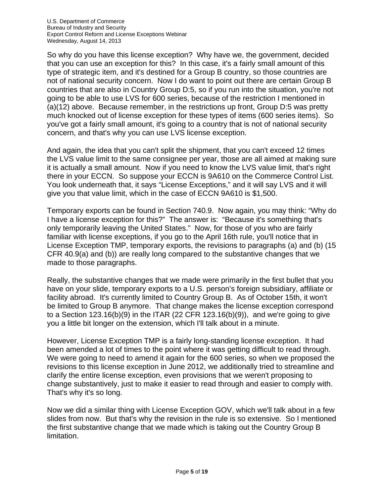So why do you have this license exception? Why have we, the government, decided that you can use an exception for this? In this case, it's a fairly small amount of this type of strategic item, and it's destined for a Group B country, so those countries are not of national security concern. Now I do want to point out there are certain Group B countries that are also in Country Group D:5, so if you run into the situation, you're not going to be able to use LVS for 600 series, because of the restriction I mentioned in (a)(12) above. Because remember, in the restrictions up front, Group D:5 was pretty much knocked out of license exception for these types of items (600 series items). So you've got a fairly small amount, it's going to a country that is not of national security concern, and that's why you can use LVS license exception.

And again, the idea that you can't split the shipment, that you can't exceed 12 times the LVS value limit to the same consignee per year, those are all aimed at making sure it is actually a small amount. Now if you need to know the LVS value limit, that's right there in your ECCN. So suppose your ECCN is 9A610 on the Commerce Control List. You look underneath that, it says "License Exceptions," and it will say LVS and it will give you that value limit, which in the case of ECCN 9A610 is \$1,500.

Temporary exports can be found in Section 740.9. Now again, you may think: "Why do I have a license exception for this?" The answer is: "Because it's something that's only temporarily leaving the United States." Now, for those of you who are fairly familiar with license exceptions, if you go to the April 16th rule, you'll notice that in License Exception TMP, temporary exports, the revisions to paragraphs (a) and (b) (15 CFR 40.9(a) and (b)) are really long compared to the substantive changes that we made to those paragraphs.

Really, the substantive changes that we made were primarily in the first bullet that you have on your slide, temporary exports to a U.S. person's foreign subsidiary, affiliate or facility abroad. It's currently limited to Country Group B. As of October 15th, it won't be limited to Group B anymore. That change makes the license exception correspond to a Section 123.16(b)(9) in the ITAR (22 CFR 123.16(b)(9)), and we're going to give you a little bit longer on the extension, which I'll talk about in a minute.

However, License Exception TMP is a fairly long-standing license exception. It had been amended a lot of times to the point where it was getting difficult to read through. We were going to need to amend it again for the 600 series, so when we proposed the revisions to this license exception in June 2012, we additionally tried to streamline and clarify the entire license exception, even provisions that we weren't proposing to change substantively, just to make it easier to read through and easier to comply with. That's why it's so long.

Now we did a similar thing with License Exception GOV, which we'll talk about in a few slides from now. But that's why the revision in the rule is so extensive. So I mentioned the first substantive change that we made which is taking out the Country Group B limitation.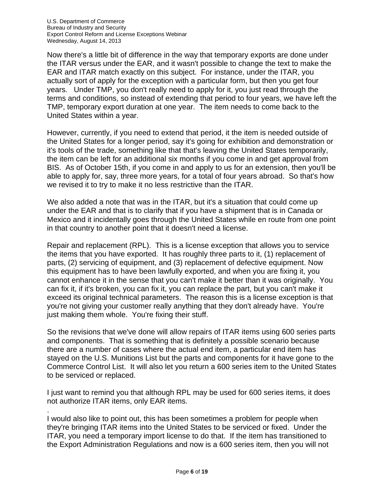Now there's a little bit of difference in the way that temporary exports are done under the ITAR versus under the EAR, and it wasn't possible to change the text to make the EAR and ITAR match exactly on this subject. For instance, under the ITAR, you actually sort of apply for the exception with a particular form, but then you get four years. Under TMP, you don't really need to apply for it, you just read through the terms and conditions, so instead of extending that period to four years, we have left the TMP, temporary export duration at one year. The item needs to come back to the United States within a year.

However, currently, if you need to extend that period, it the item is needed outside of the United States for a longer period, say it's going for exhibition and demonstration or it's tools of the trade, something like that that's leaving the United States temporarily, the item can be left for an additional six months if you come in and get approval from BIS. As of October 15th, if you come in and apply to us for an extension, then you'll be able to apply for, say, three more years, for a total of four years abroad. So that's how we revised it to try to make it no less restrictive than the ITAR.

We also added a note that was in the ITAR, but it's a situation that could come up under the EAR and that is to clarify that if you have a shipment that is in Canada or Mexico and it incidentally goes through the United States while en route from one point in that country to another point that it doesn't need a license.

Repair and replacement (RPL). This is a license exception that allows you to service the items that you have exported. It has roughly three parts to it, (1) replacement of parts, (2) servicing of equipment, and (3) replacement of defective equipment. Now this equipment has to have been lawfully exported, and when you are fixing it, you cannot enhance it in the sense that you can't make it better than it was originally. You can fix it, if it's broken, you can fix it, you can replace the part, but you can't make it exceed its original technical parameters. The reason this is a license exception is that you're not giving your customer really anything that they don't already have. You're just making them whole. You're fixing their stuff.

So the revisions that we've done will allow repairs of ITAR items using 600 series parts and components. That is something that is definitely a possible scenario because there are a number of cases where the actual end item, a particular end item has stayed on the U.S. Munitions List but the parts and components for it have gone to the Commerce Control List. It will also let you return a 600 series item to the United States to be serviced or replaced.

I just want to remind you that although RPL may be used for 600 series items, it does not authorize ITAR items, only EAR items.

.

I would also like to point out, this has been sometimes a problem for people when they're bringing ITAR items into the United States to be serviced or fixed. Under the ITAR, you need a temporary import license to do that. If the item has transitioned to the Export Administration Regulations and now is a 600 series item, then you will not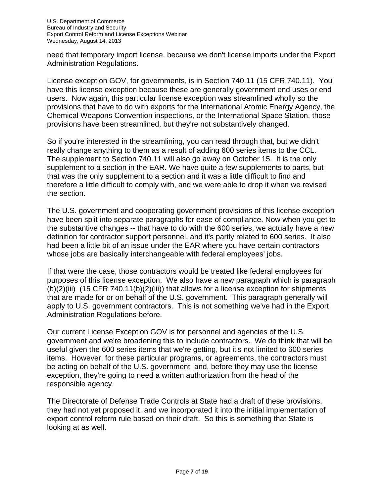need that temporary import license, because we don't license imports under the Export Administration Regulations.

License exception GOV, for governments, is in Section 740.11 (15 CFR 740.11). You have this license exception because these are generally government end uses or end users. Now again, this particular license exception was streamlined wholly so the provisions that have to do with exports for the International Atomic Energy Agency, the Chemical Weapons Convention inspections, or the International Space Station, those provisions have been streamlined, but they're not substantively changed.

So if you're interested in the streamlining, you can read through that, but we didn't really change anything to them as a result of adding 600 series items to the CCL. The supplement to Section 740.11 will also go away on October 15. It is the only supplement to a section in the EAR. We have quite a few supplements to parts, but that was the only supplement to a section and it was a little difficult to find and therefore a little difficult to comply with, and we were able to drop it when we revised the section.

The U.S. government and cooperating government provisions of this license exception have been split into separate paragraphs for ease of compliance. Now when you get to the substantive changes -- that have to do with the 600 series, we actually have a new definition for contractor support personnel, and it's partly related to 600 series. It also had been a little bit of an issue under the EAR where you have certain contractors whose jobs are basically interchangeable with federal employees' jobs.

If that were the case, those contractors would be treated like federal employees for purposes of this license exception. We also have a new paragraph which is paragraph  $(b)(2)(iii)$  (15 CFR 740.11 $(b)(2)(iii)$ ) that allows for a license exception for shipments that are made for or on behalf of the U.S. government. This paragraph generally will apply to U.S. government contractors. This is not something we've had in the Export Administration Regulations before.

Our current License Exception GOV is for personnel and agencies of the U.S. government and we're broadening this to include contractors. We do think that will be useful given the 600 series items that we're getting, but it's not limited to 600 series items. However, for these particular programs, or agreements, the contractors must be acting on behalf of the U.S. government and, before they may use the license exception, they're going to need a written authorization from the head of the responsible agency.

The Directorate of Defense Trade Controls at State had a draft of these provisions, they had not yet proposed it, and we incorporated it into the initial implementation of export control reform rule based on their draft. So this is something that State is looking at as well.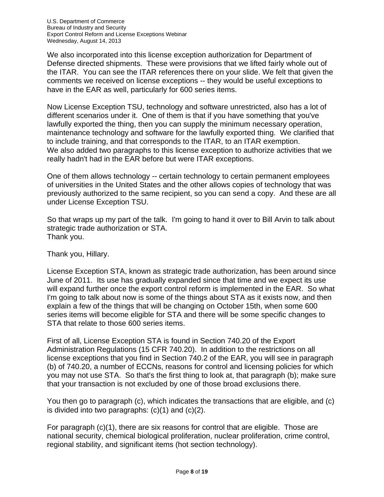We also incorporated into this license exception authorization for Department of Defense directed shipments. These were provisions that we lifted fairly whole out of the ITAR. You can see the ITAR references there on your slide. We felt that given the comments we received on license exceptions -- they would be useful exceptions to have in the EAR as well, particularly for 600 series items.

Now License Exception TSU, technology and software unrestricted, also has a lot of different scenarios under it. One of them is that if you have something that you've lawfully exported the thing, then you can supply the minimum necessary operation, maintenance technology and software for the lawfully exported thing. We clarified that to include training, and that corresponds to the ITAR, to an ITAR exemption. We also added two paragraphs to this license exception to authorize activities that we really hadn't had in the EAR before but were ITAR exceptions.

One of them allows technology -- certain technology to certain permanent employees of universities in the United States and the other allows copies of technology that was previously authorized to the same recipient, so you can send a copy. And these are all under License Exception TSU.

So that wraps up my part of the talk. I'm going to hand it over to Bill Arvin to talk about strategic trade authorization or STA. Thank you.

Thank you, Hillary.

License Exception STA, known as strategic trade authorization, has been around since June of 2011. Its use has gradually expanded since that time and we expect its use will expand further once the export control reform is implemented in the EAR. So what I'm going to talk about now is some of the things about STA as it exists now, and then explain a few of the things that will be changing on October 15th, when some 600 series items will become eligible for STA and there will be some specific changes to STA that relate to those 600 series items.

First of all, License Exception STA is found in Section 740.20 of the Export Administration Regulations (15 CFR 740.20). In addition to the restrictions on all license exceptions that you find in Section 740.2 of the EAR, you will see in paragraph (b) of 740.20, a number of ECCNs, reasons for control and licensing policies for which you may not use STA. So that's the first thing to look at, that paragraph (b); make sure that your transaction is not excluded by one of those broad exclusions there.

You then go to paragraph (c), which indicates the transactions that are eligible, and (c) is divided into two paragraphs:  $(c)(1)$  and  $(c)(2)$ .

For paragraph (c)(1), there are six reasons for control that are eligible. Those are national security, chemical biological proliferation, nuclear proliferation, crime control, regional stability, and significant items (hot section technology).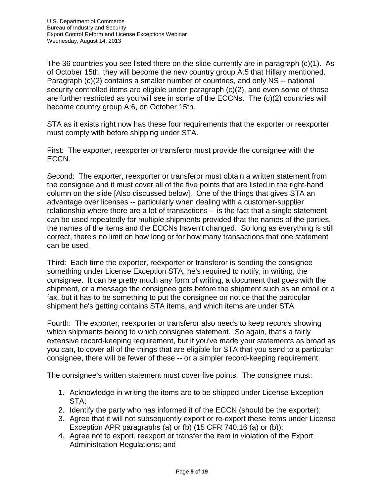The 36 countries you see listed there on the slide currently are in paragraph (c)(1). As of October 15th, they will become the new country group A:5 that Hillary mentioned. Paragraph (c)(2) contains a smaller number of countries, and only NS -- national security controlled items are eligible under paragraph (c)(2), and even some of those are further restricted as you will see in some of the ECCNs. The (c)(2) countries will become country group A:6, on October 15th.

STA as it exists right now has these four requirements that the exporter or reexporter must comply with before shipping under STA.

First: The exporter, reexporter or transferor must provide the consignee with the ECCN.

Second: The exporter, reexporter or transferor must obtain a written statement from the consignee and it must cover all of the five points that are listed in the right-hand column on the slide [Also discussed below]. One of the things that gives STA an advantage over licenses -- particularly when dealing with a customer-supplier relationship where there are a lot of transactions -- is the fact that a single statement can be used repeatedly for multiple shipments provided that the names of the parties, the names of the items and the ECCNs haven't changed. So long as everything is still correct, there's no limit on how long or for how many transactions that one statement can be used.

Third: Each time the exporter, reexporter or transferor is sending the consignee something under License Exception STA, he's required to notify, in writing, the consignee. It can be pretty much any form of writing, a document that goes with the shipment, or a message the consignee gets before the shipment such as an email or a fax, but it has to be something to put the consignee on notice that the particular shipment he's getting contains STA items, and which items are under STA.

Fourth: The exporter, reexporter or transferor also needs to keep records showing which shipments belong to which consignee statement. So again, that's a fairly extensive record-keeping requirement, but if you've made your statements as broad as you can, to cover all of the things that are eligible for STA that you send to a particular consignee, there will be fewer of these -- or a simpler record-keeping requirement.

The consignee's written statement must cover five points. The consignee must:

- 1. Acknowledge in writing the items are to be shipped under License Exception STA;
- 2. Identify the party who has informed it of the ECCN (should be the exporter);
- 3. Agree that it will not subsequently export or re-export these items under License Exception APR paragraphs (a) or (b) (15 CFR 740.16 (a) or (b));
- 4. Agree not to export, reexport or transfer the item in violation of the Export Administration Regulations; and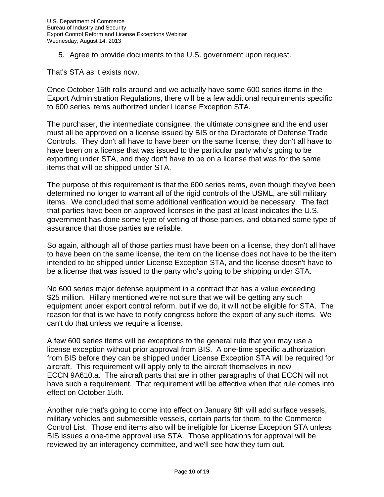5. Agree to provide documents to the U.S. government upon request.

That's STA as it exists now.

Once October 15th rolls around and we actually have some 600 series items in the Export Administration Regulations, there will be a few additional requirements specific to 600 series items authorized under License Exception STA.

The purchaser, the intermediate consignee, the ultimate consignee and the end user must all be approved on a license issued by BIS or the Directorate of Defense Trade Controls. They don't all have to have been on the same license, they don't all have to have been on a license that was issued to the particular party who's going to be exporting under STA, and they don't have to be on a license that was for the same items that will be shipped under STA.

The purpose of this requirement is that the 600 series items, even though they've been determined no longer to warrant all of the rigid controls of the USML, are still military items. We concluded that some additional verification would be necessary. The fact that parties have been on approved licenses in the past at least indicates the U.S. government has done some type of vetting of those parties, and obtained some type of assurance that those parties are reliable.

So again, although all of those parties must have been on a license, they don't all have to have been on the same license, the item on the license does not have to be the item intended to be shipped under License Exception STA, and the license doesn't have to be a license that was issued to the party who's going to be shipping under STA.

No 600 series major defense equipment in a contract that has a value exceeding \$25 million. Hillary mentioned we're not sure that we will be getting any such equipment under export control reform, but if we do, it will not be eligible for STA. The reason for that is we have to notify congress before the export of any such items. We can't do that unless we require a license.

A few 600 series items will be exceptions to the general rule that you may use a license exception without prior approval from BIS. A one-time specific authorization from BIS before they can be shipped under License Exception STA will be required for aircraft. This requirement will apply only to the aircraft themselves in new ECCN 9A610.a. The aircraft parts that are in other paragraphs of that ECCN will not have such a requirement. That requirement will be effective when that rule comes into effect on October 15th.

Another rule that's going to come into effect on January 6th will add surface vessels, military vehicles and submersible vessels, certain parts for them, to the Commerce Control List. Those end items also will be ineligible for License Exception STA unless BIS issues a one-time approval use STA. Those applications for approval will be reviewed by an interagency committee, and we'll see how they turn out.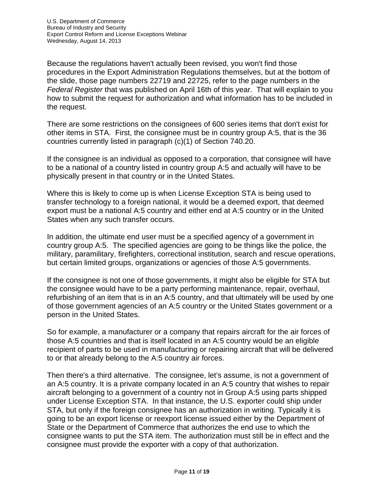Because the regulations haven't actually been revised, you won't find those procedures in the Export Administration Regulations themselves, but at the bottom of the slide, those page numbers 22719 and 22725, refer to the page numbers in the *Federal Register* that was published on April 16th of this year. That will explain to you how to submit the request for authorization and what information has to be included in the request.

There are some restrictions on the consignees of 600 series items that don't exist for other items in STA. First, the consignee must be in country group A:5, that is the 36 countries currently listed in paragraph (c)(1) of Section 740.20.

If the consignee is an individual as opposed to a corporation, that consignee will have to be a national of a country listed in country group A:5 and actually will have to be physically present in that country or in the United States.

Where this is likely to come up is when License Exception STA is being used to transfer technology to a foreign national, it would be a deemed export, that deemed export must be a national A:5 country and either end at A:5 country or in the United States when any such transfer occurs.

In addition, the ultimate end user must be a specified agency of a government in country group A:5. The specified agencies are going to be things like the police, the military, paramilitary, firefighters, correctional institution, search and rescue operations, but certain limited groups, organizations or agencies of those A:5 governments.

If the consignee is not one of those governments, it might also be eligible for STA but the consignee would have to be a party performing maintenance, repair, overhaul, refurbishing of an item that is in an A:5 country, and that ultimately will be used by one of those government agencies of an A:5 country or the United States government or a person in the United States.

So for example, a manufacturer or a company that repairs aircraft for the air forces of those A:5 countries and that is itself located in an A:5 country would be an eligible recipient of parts to be used in manufacturing or repairing aircraft that will be delivered to or that already belong to the A:5 country air forces.

Then there's a third alternative. The consignee, let's assume, is not a government of an A:5 country. It is a private company located in an A:5 country that wishes to repair aircraft belonging to a government of a country not in Group A:5 using parts shipped under License Exception STA. In that instance, the U.S. exporter could ship under STA, but only if the foreign consignee has an authorization in writing. Typically it is going to be an export license or reexport license issued either by the Department of State or the Department of Commerce that authorizes the end use to which the consignee wants to put the STA item. The authorization must still be in effect and the consignee must provide the exporter with a copy of that authorization.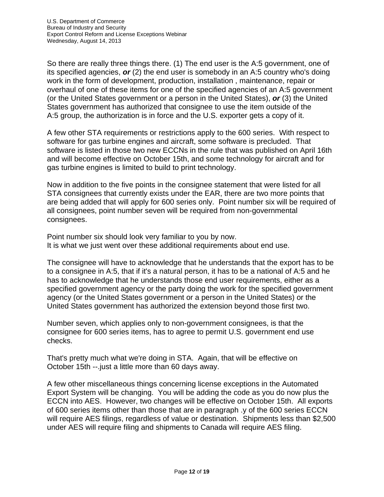So there are really three things there. (1) The end user is the A:5 government, one of its specified agencies, *or* (2) the end user is somebody in an A:5 country who's doing work in the form of development, production, installation , maintenance, repair or overhaul of one of these items for one of the specified agencies of an A:5 government (or the United States government or a person in the United States), *or* (3) the United States government has authorized that consignee to use the item outside of the A:5 group, the authorization is in force and the U.S. exporter gets a copy of it.

A few other STA requirements or restrictions apply to the 600 series. With respect to software for gas turbine engines and aircraft, some software is precluded. That software is listed in those two new ECCNs in the rule that was published on April 16th and will become effective on October 15th, and some technology for aircraft and for gas turbine engines is limited to build to print technology.

Now in addition to the five points in the consignee statement that were listed for all STA consignees that currently exists under the EAR, there are two more points that are being added that will apply for 600 series only. Point number six will be required of all consignees, point number seven will be required from non-governmental consignees.

Point number six should look very familiar to you by now. It is what we just went over these additional requirements about end use.

The consignee will have to acknowledge that he understands that the export has to be to a consignee in A:5, that if it's a natural person, it has to be a national of A:5 and he has to acknowledge that he understands those end user requirements, either as a specified government agency or the party doing the work for the specified government agency (or the United States government or a person in the United States) or the United States government has authorized the extension beyond those first two.

Number seven, which applies only to non-government consignees, is that the consignee for 600 series items, has to agree to permit U.S. government end use checks.

That's pretty much what we're doing in STA. Again, that will be effective on October 15th --.just a little more than 60 days away.

A few other miscellaneous things concerning license exceptions in the Automated Export System will be changing. You will be adding the code as you do now plus the ECCN into AES. However, two changes will be effective on October 15th. All exports of 600 series items other than those that are in paragraph .y of the 600 series ECCN will require AES filings, regardless of value or destination. Shipments less than \$2,500 under AES will require filing and shipments to Canada will require AES filing.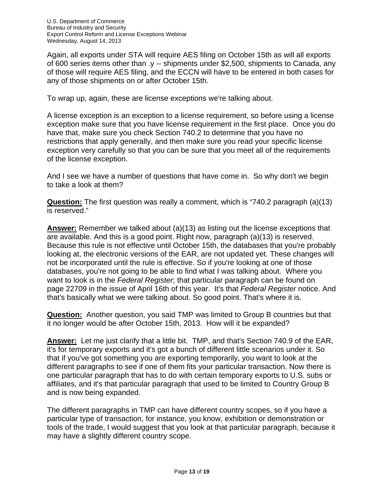Again, all exports under STA will require AES filing on October 15th as will all exports of 600 series items other than .y -- shipments under \$2,500, shipments to Canada, any of those will require AES filing, and the ECCN will have to be entered in both cases for any of those shipments on or after October 15th.

To wrap up, again, these are license exceptions we're talking about.

A license exception is an exception to a license requirement, so before using a license exception make sure that you have license requirement in the first place. Once you do have that, make sure you check Section 740.2 to determine that you have no restrictions that apply generally, and then make sure you read your specific license exception very carefully so that you can be sure that you meet all of the requirements of the license exception.

And I see we have a number of questions that have come in. So why don't we begin to take a look at them?

**Question:** The first question was really a comment, which is "740.2 paragraph (a)(13) is reserved."

**Answer:** Remember we talked about (a)(13) as listing out the license exceptions that are available. And this is a good point. Right now, paragraph (a)(13) is reserved. Because this rule is not effective until October 15th, the databases that you're probably looking at, the electronic versions of the EAR, are not updated yet. These changes will not be incorporated until the rule is effective. So if you're looking at one of those databases, you're not going to be able to find what I was talking about. Where you want to look is in the *Federal Register*; that particular paragraph can be found on page 22709 in the issue of April 16th of this year. It's that *Federal Register* notice. And that's basically what we were talking about. So good point. That's where it is.

**Question:** Another question, you said TMP was limited to Group B countries but that it no longer would be after October 15th, 2013. How will it be expanded?

**Answer:** Let me just clarify that a little bit. TMP, and that's Section 740.9 of the EAR, it's for temporary exports and it's got a bunch of different little scenarios under it. So that if you've got something you are exporting temporarily, you want to look at the different paragraphs to see if one of them fits your particular transaction. Now there is one particular paragraph that has to do with certain temporary exports to U.S. subs or affiliates, and it's that particular paragraph that used to be limited to Country Group B and is now being expanded.

The different paragraphs in TMP can have different country scopes, so if you have a particular type of transaction, for instance, you know, exhibition or demonstration or tools of the trade, I would suggest that you look at that particular paragraph, because it may have a slightly different country scope.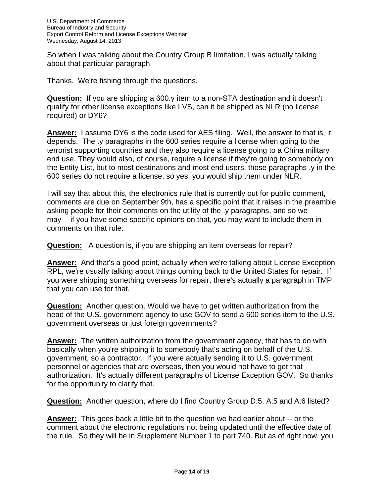So when I was talking about the Country Group B limitation, I was actually talking about that particular paragraph.

Thanks. We're fishing through the questions.

**Question:** If you are shipping a 600.y item to a non-STA destination and it doesn't qualify for other license exceptions like LVS, can it be shipped as NLR (no license required) or DY6?

**Answer:** I assume DY6 is the code used for AES filing. Well, the answer to that is, it depends. The .y paragraphs in the 600 series require a license when going to the terrorist supporting countries and they also require a license going to a China military end use. They would also, of course, require a license if they're going to somebody on the Entity List, but to most destinations and most end users, those paragraphs .y in the 600 series do not require a license, so yes, you would ship them under NLR.

I will say that about this, the electronics rule that is currently out for public comment, comments are due on September 9th, has a specific point that it raises in the preamble asking people for their comments on the utility of the .y paragraphs, and so we may -- if you have some specific opinions on that, you may want to include them in comments on that rule.

**Question:** A question is, if you are shipping an item overseas for repair?

**Answer:** And that's a good point, actually when we're talking about License Exception RPL, we're usually talking about things coming back to the United States for repair. If you were shipping something overseas for repair, there's actually a paragraph in TMP that you can use for that.

**Question:** Another question. Would we have to get written authorization from the head of the U.S. government agency to use GOV to send a 600 series item to the U.S. government overseas or just foreign governments?

**Answer:** The written authorization from the government agency, that has to do with basically when you're shipping it to somebody that's acting on behalf of the U.S. government, so a contractor. If you were actually sending it to U.S. government personnel or agencies that are overseas, then you would not have to get that authorization. It's actually different paragraphs of License Exception GOV. So thanks for the opportunity to clarify that.

**Question:** Another question, where do I find Country Group D:5, A:5 and A:6 listed?

**Answer:** This goes back a little bit to the question we had earlier about -- or the comment about the electronic regulations not being updated until the effective date of the rule. So they will be in Supplement Number 1 to part 740. But as of right now, you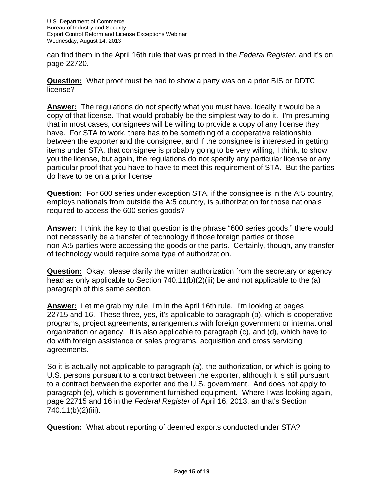can find them in the April 16th rule that was printed in the *Federal Register*, and it's on page 22720.

**Question:** What proof must be had to show a party was on a prior BIS or DDTC license?

**Answer:** The regulations do not specify what you must have. Ideally it would be a copy of that license. That would probably be the simplest way to do it. I'm presuming that in most cases, consignees will be willing to provide a copy of any license they have. For STA to work, there has to be something of a cooperative relationship between the exporter and the consignee, and if the consignee is interested in getting items under STA, that consignee is probably going to be very willing, I think, to show you the license, but again, the regulations do not specify any particular license or any particular proof that you have to have to meet this requirement of STA. But the parties do have to be on a prior license

**Question:** For 600 series under exception STA, if the consignee is in the A:5 country, employs nationals from outside the A:5 country, is authorization for those nationals required to access the 600 series goods?

**Answer:** I think the key to that question is the phrase "600 series goods," there would not necessarily be a transfer of technology if those foreign parties or those non-A:5 parties were accessing the goods or the parts. Certainly, though, any transfer of technology would require some type of authorization.

**Question:** Okay, please clarify the written authorization from the secretary or agency head as only applicable to Section 740.11(b)(2)(iii) be and not applicable to the (a) paragraph of this same section.

**Answer:** Let me grab my rule. I'm in the April 16th rule. I'm looking at pages 22715 and 16. These three, yes, it's applicable to paragraph (b), which is cooperative programs, project agreements, arrangements with foreign government or international organization or agency. It is also applicable to paragraph (c), and (d), which have to do with foreign assistance or sales programs, acquisition and cross servicing agreements.

So it is actually not applicable to paragraph (a), the authorization, or which is going to U.S. persons pursuant to a contract between the exporter, although it is still pursuant to a contract between the exporter and the U.S. government. And does not apply to paragraph (e), which is government furnished equipment. Where I was looking again, page 22715 and 16 in the *Federal Register* of April 16, 2013, an that's Section 740.11(b)(2)(iii).

**Question:** What about reporting of deemed exports conducted under STA?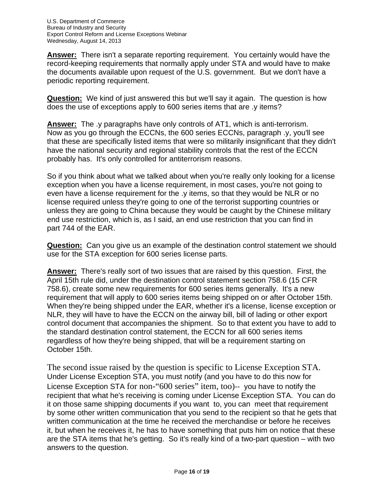**Answer:** There isn't a separate reporting requirement. You certainly would have the record-keeping requirements that normally apply under STA and would have to make the documents available upon request of the U.S. government. But we don't have a periodic reporting requirement.

**Question:** We kind of just answered this but we'll say it again. The question is how does the use of exceptions apply to 600 series items that are .y items?

**Answer:** The .y paragraphs have only controls of AT1, which is anti-terrorism. Now as you go through the ECCNs, the 600 series ECCNs, paragraph .y, you'll see that these are specifically listed items that were so militarily insignificant that they didn't have the national security and regional stability controls that the rest of the ECCN probably has. It's only controlled for antiterrorism reasons.

So if you think about what we talked about when you're really only looking for a license exception when you have a license requirement, in most cases, you're not going to even have a license requirement for the .y items, so that they would be NLR or no license required unless they're going to one of the terrorist supporting countries or unless they are going to China because they would be caught by the Chinese military end use restriction, which is, as I said, an end use restriction that you can find in part 744 of the EAR.

**Question:** Can you give us an example of the destination control statement we should use for the STA exception for 600 series license parts.

**Answer:** There's really sort of two issues that are raised by this question. First, the April 15th rule did, under the destination control statement section 758.6 (15 CFR 758.6), create some new requirements for 600 series items generally. It's a new requirement that will apply to 600 series items being shipped on or after October 15th. When they're being shipped under the EAR, whether it's a license, license exception or NLR, they will have to have the ECCN on the airway bill, bill of lading or other export control document that accompanies the shipment. So to that extent you have to add to the standard destination control statement, the ECCN for all 600 series items regardless of how they're being shipped, that will be a requirement starting on October 15th.

The second issue raised by the question is specific to License Exception STA. Under License Exception STA, you must notify (and you have to do this now for License Exception STA for non-"600 series" item, too)-- you have to notify the recipient that what he's receiving is coming under License Exception STA. You can do it on those same shipping documents if you want to, you can meet that requirement by some other written communication that you send to the recipient so that he gets that written communication at the time he received the merchandise or before he receives it, but when he receives it, he has to have something that puts him on notice that these are the STA items that he's getting. So it's really kind of a two-part question – with two answers to the question.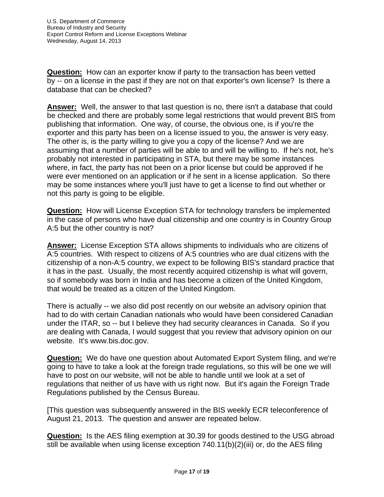**Question:** How can an exporter know if party to the transaction has been vetted by -- on a license in the past if they are not on that exporter's own license? Is there a database that can be checked?

**Answer:** Well, the answer to that last question is no, there isn't a database that could be checked and there are probably some legal restrictions that would prevent BIS from publishing that information. One way, of course, the obvious one, is if you're the exporter and this party has been on a license issued to you, the answer is very easy. The other is, is the party willing to give you a copy of the license? And we are assuming that a number of parties will be able to and will be willing to. If he's not, he's probably not interested in participating in STA, but there may be some instances where, in fact, the party has not been on a prior license but could be approved if he were ever mentioned on an application or if he sent in a license application. So there may be some instances where you'll just have to get a license to find out whether or not this party is going to be eligible.

**Question:** How will License Exception STA for technology transfers be implemented in the case of persons who have dual citizenship and one country is in Country Group A:5 but the other country is not?

**Answer:** License Exception STA allows shipments to individuals who are citizens of A:5 countries. With respect to citizens of A:5 countries who are dual citizens with the citizenship of a non-A:5 country, we expect to be following BIS's standard practice that it has in the past. Usually, the most recently acquired citizenship is what will govern, so if somebody was born in India and has become a citizen of the United Kingdom, that would be treated as a citizen of the United Kingdom.

There is actually -- we also did post recently on our website an advisory opinion that had to do with certain Canadian nationals who would have been considered Canadian under the ITAR, so -- but I believe they had security clearances in Canada. So if you are dealing with Canada, I would suggest that you review that advisory opinion on our website. It's www.bis.doc.gov.

**Question:** We do have one question about Automated Export System filing, and we're going to have to take a look at the foreign trade regulations, so this will be one we will have to post on our website, will not be able to handle until we look at a set of regulations that neither of us have with us right now. But it's again the Foreign Trade Regulations published by the Census Bureau.

[This question was subsequently answered in the BIS weekly ECR teleconference of August 21, 2013. The question and answer are repeated below.

**Question:** Is the AES filing exemption at 30.39 for goods destined to the USG abroad still be available when using license exception 740.11(b)(2)(iii) or, do the AES filing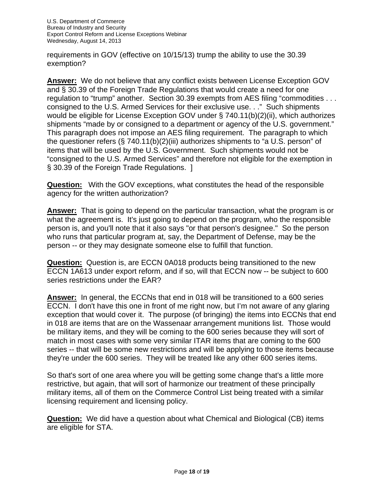requirements in GOV (effective on 10/15/13) trump the ability to use the 30.39 exemption?

**Answer:** We do not believe that any conflict exists between License Exception GOV and § 30.39 of the Foreign Trade Regulations that would create a need for one regulation to "trump" another. Section 30.39 exempts from AES filing "commodities . . . consigned to the U.S. Armed Services for their exclusive use. . ." Such shipments would be eligible for License Exception GOV under § 740.11(b)(2)(ii), which authorizes shipments "made by or consigned to a department or agency of the U.S. government." This paragraph does not impose an AES filing requirement. The paragraph to which the questioner refers (§ 740.11(b)(2)(iii) authorizes shipments to "a U.S. person" of items that will be used by the U.S. Government. Such shipments would not be "consigned to the U.S. Armed Services" and therefore not eligible for the exemption in § 30.39 of the Foreign Trade Regulations. ]

**Question:** With the GOV exceptions, what constitutes the head of the responsible agency for the written authorization?

**Answer:** That is going to depend on the particular transaction, what the program is or what the agreement is. It's just going to depend on the program, who the responsible person is, and you'll note that it also says "or that person's designee." So the person who runs that particular program at, say, the Department of Defense, may be the person -- or they may designate someone else to fulfill that function.

**Question:** Question is, are ECCN 0A018 products being transitioned to the new ECCN 1A613 under export reform, and if so, will that ECCN now -- be subject to 600 series restrictions under the EAR?

**Answer:** In general, the ECCNs that end in 018 will be transitioned to a 600 series ECCN. I don't have this one in front of me right now, but I'm not aware of any glaring exception that would cover it. The purpose (of bringing) the items into ECCNs that end in 018 are items that are on the Wassenaar arrangement munitions list. Those would be military items, and they will be coming to the 600 series because they will sort of match in most cases with some very similar ITAR items that are coming to the 600 series -- that will be some new restrictions and will be applying to those items because they're under the 600 series. They will be treated like any other 600 series items.

So that's sort of one area where you will be getting some change that's a little more restrictive, but again, that will sort of harmonize our treatment of these principally military items, all of them on the Commerce Control List being treated with a similar licensing requirement and licensing policy.

**Question:** We did have a question about what Chemical and Biological (CB) items are eligible for STA.